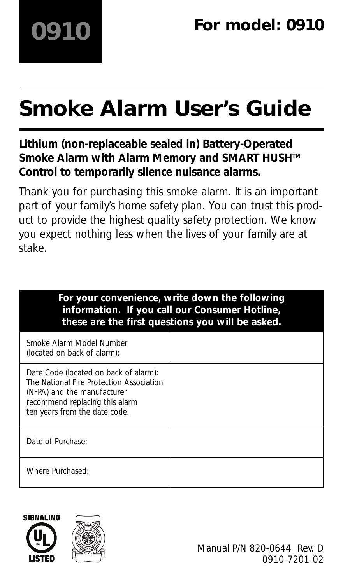# **Smoke Alarm User's Guide**

## **Lithium (non-replaceable sealed in) Battery-Operated** Smoke Alarm with Alarm Memory and SMART HUSH<sup>™</sup> **Control to temporarily silence nuisance alarms.**

Thank you for purchasing this smoke alarm. It is an important part of your family's home safety plan. You can trust this product to provide the highest quality safety protection. We know you expect nothing less when the lives of your family are at stake.

| For your convenience, write down the following<br>information. If you call our Consumer Hotline,<br>these are the first questions you will be asked.                                |  |  |
|-------------------------------------------------------------------------------------------------------------------------------------------------------------------------------------|--|--|
| Smoke Alarm Model Number<br>(located on back of alarm):                                                                                                                             |  |  |
| Date Code (located on back of alarm):<br>The National Fire Protection Association<br>(NFPA) and the manufacturer<br>recommend replacing this alarm<br>ten years from the date code. |  |  |
| Date of Purchase:                                                                                                                                                                   |  |  |
| Where Purchased:                                                                                                                                                                    |  |  |



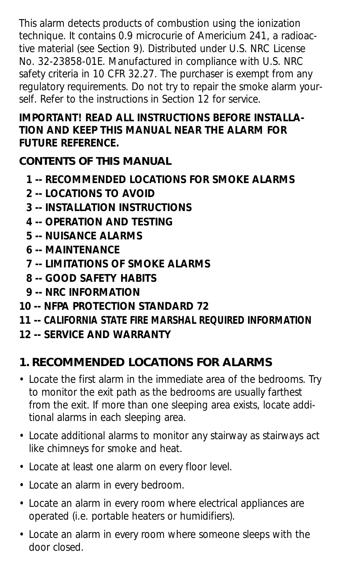This alarm detects products of combustion using the ionization technique. It contains 0.9 microcurie of Americium 241, a radioactive material (see Section 9). Distributed under U.S. NRC License No. 32-23858-01E. Manufactured in compliance with U.S. NRC safety criteria in 10 CFR 32.27. The purchaser is exempt from any regulatory requirements. Do not try to repair the smoke alarm yourself. Refer to the instructions in Section 12 for service.

#### **IMPORTANT! READ ALL INSTRUCTIONS BEFORE INSTALLA-TION AND KEEP THIS MANUAL NEAR THE ALARM FOR FUTURE REFERENCE.**

**CONTENTS OF THIS MANUAL**

- **1 -- RECOMMENDED LOCATIONS FOR SMOKE ALARMS**
- **2 -- LOCATIONS TO AVOID**
- **3 -- INSTALLATION INSTRUCTIONS**
- **4 -- OPERATION AND TESTING**
- **5 -- NUISANCE ALARMS**
- **6 -- MAINTENANCE**
- **7 -- LIMITATIONS OF SMOKE ALARMS**
- **8 -- GOOD SAFETY HABITS**
- **9 -- NRC INFORMATION**
- **10 -- NFPA PROTECTION STANDARD 72**
- **11 -- CALIFORNIA STATE FIRE MARSHAL REQUIRED INFORMATION**
- **12 -- SERVICE AND WARRANTY**

# **1. RECOMMENDED LOCATIONS FOR ALARMS**

- Locate the first alarm in the immediate area of the bedrooms. Try to monitor the exit path as the bedrooms are usually farthest from the exit. If more than one sleeping area exists, locate additional alarms in each sleeping area.
- Locate additional alarms to monitor any stairway as stairways act like chimneys for smoke and heat.
- Locate at least one alarm on every floor level.
- Locate an alarm in every bedroom.
- Locate an alarm in every room where electrical appliances are operated (i.e. portable heaters or humidifiers).
- Locate an alarm in every room where someone sleeps with the door closed.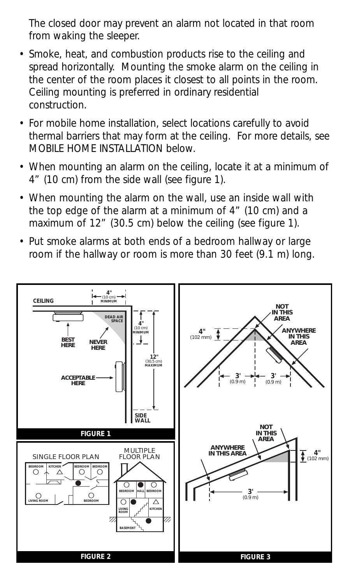The closed door may prevent an alarm not located in that room from waking the sleeper.

- Smoke, heat, and combustion products rise to the ceiling and spread horizontally. Mounting the smoke alarm on the ceiling in the center of the room places it closest to all points in the room. Ceiling mounting is preferred in ordinary residential<br>construction construction. **BEDROOM KITCHER**<br>**BEDROOM KITCHER**<br>**BEDROOM KITCHER**<br>**BEDROOM KITCHER**<br>**BEDROOM KITCHER**<br>**BEDROOM ADDROOM** *ACCEPTABLE HERE*
- For mobile home installation, select locations carefully to avoid thermal barriers that may form at the ceiling. For more details, see **MOBILE HOME INSTALLATION below. MINIMUM**
- When mounting an alarm on the ceiling, locate it at a minimum of 4" (10 cm) from the side wall (see figure 1).
- When mounting the alarm on the wall, use an inside wall with the top edge of the alarm at a minimum of 4" (10 cm) and a maximum of 12" (30.5 cm) below the ceiling (see figure 1). **LIVING ROOM**
- Put smoke alarms at both ends of a bedroom hallway or large room if the hallway or room is more than 30 feet (9.1 m) long.

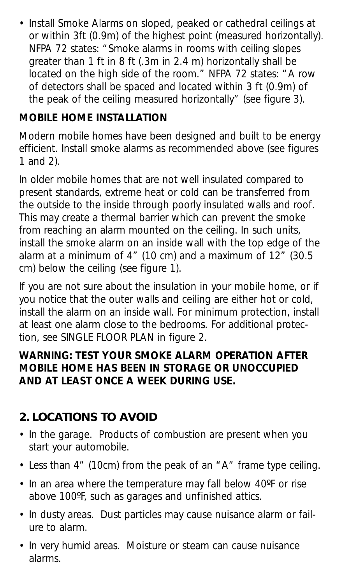• Install Smoke Alarms on sloped, peaked or cathedral ceilings at or within 3ft (0.9m) of the highest point (measured horizontally). NFPA 72 states: "Smoke alarms in rooms with ceiling slopes greater than 1 ft in 8 ft (.3m in 2.4 m) horizontally shall be located on the high side of the room." NFPA 72 states: "A row of detectors shall be spaced and located within 3 ft (0.9m) of the peak of the ceiling measured horizontally" (see figure 3).

#### **MOBILE HOME INSTALLATION**

Modern mobile homes have been designed and built to be energy efficient. Install smoke alarms as recommended above (see figures 1 and 2).

In older mobile homes that are not well insulated compared to present standards, extreme heat or cold can be transferred from the outside to the inside through poorly insulated walls and roof. This may create a thermal barrier which can prevent the smoke from reaching an alarm mounted on the ceiling. In such units, install the smoke alarm on an inside wall with the top edge of the alarm at a minimum of 4" (10 cm) and a maximum of  $12$ " (30.5) cm) below the ceiling (see figure 1).

If you are not sure about the insulation in your mobile home, or if you notice that the outer walls and ceiling are either hot or cold, install the alarm on an inside wall. For minimum protection, install at least one alarm close to the bedrooms. For additional protection, see SINGLE FLOOR PLAN in figure 2.

#### **WARNING: TEST YOUR SMOKE ALARM OPERATION AFTER MOBILE HOME HAS BEEN IN STORAGE OR UNOCCUPIED AND AT LEAST ONCE A WEEK DURING USE.**

## **2. LOCATIONS TO AVOID**

- In the garage. Products of combustion are present when you start your automobile.
- Less than 4" (10cm) from the peak of an "A" frame type ceiling.
- In an area where the temperature may fall below 40ºF or rise above 100ºF, such as garages and unfinished attics.
- In dusty areas. Dust particles may cause nuisance alarm or failure to alarm.
- In very humid areas. Moisture or steam can cause nuisance alarms.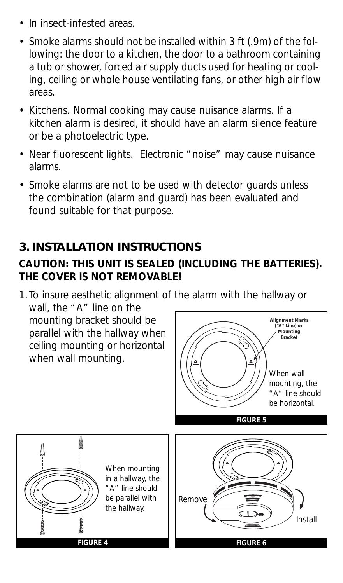- In insect-infested areas.
- Smoke alarms should not be installed within 3 ft (.9m) of the following: the door to a kitchen, the door to a bathroom containing a tub or shower, forced air supply ducts used for heating or cooling, ceiling or whole house ventilating fans, or other high air flow areas.
- Kitchens. Normal cooking may cause nuisance alarms. If a kitchen alarm is desired, it should have an alarm silence feature or be a photoelectric type.
- Near fluorescent lights. Electronic "noise" may cause nuisance alarms.
- Smoke alarms are not to be used with detector guards unless the combination (alarm and guard) has been evaluated and found suitable for that purpose.

## **3. INSTALLATION INSTRUCTIONS**

#### **CAUTION: THIS UNIT IS SEALED (INCLUDING THE BATTERIES). THE COVER IS NOT REMOVABLE!**

1.To insure aesthetic alignment of the alarm with the hallway or wall, the "A" line on the mounting bracket should be parallel with the hallway when ceiling mounting or horizontal when wall mounting. **A A Alignment Marks ("A" Line) on Mounting Bracket** When wall

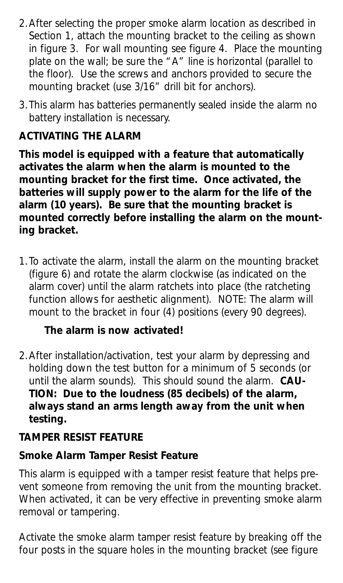- 2.After selecting the proper smoke alarm location as described in Section 1, attach the mounting bracket to the ceiling as shown in figure 3. For wall mounting see figure 4. Place the mounting plate on the wall; be sure the "A" line is horizontal (parallel to the floor). Use the screws and anchors provided to secure the mounting bracket (use 3/16" drill bit for anchors).
- 3.This alarm has batteries permanently sealed inside the alarm no battery installation is necessary.

#### **ACTIVATING THE ALARM**

**This model is equipped with a feature that automatically activates the alarm when the alarm is mounted to the mounting bracket for the first time. Once activated, the batteries will supply power to the alarm for the life of the alarm (10 years). Be sure that the mounting bracket is mounted correctly before installing the alarm on the mounting bracket.**

1.To activate the alarm, install the alarm on the mounting bracket (figure 6) and rotate the alarm clockwise (as indicated on the alarm cover) until the alarm ratchets into place (the ratcheting function allows for aesthetic alignment). NOTE: The alarm will mount to the bracket in four (4) positions (every 90 degrees).

#### **The alarm is now activated!**

2.After installation/activation, test your alarm by depressing and holding down the test button for a minimum of 5 seconds (or until the alarm sounds). This should sound the alarm. **CAU-TION: Due to the loudness (85 decibels) of the alarm, always stand an arms length away from the unit when testing.**

#### **TAMPER RESIST FEATURE**

#### **Smoke Alarm Tamper Resist Feature**

This alarm is equipped with a tamper resist feature that helps prevent someone from removing the unit from the mounting bracket. When activated, it can be very effective in preventing smoke alarm removal or tampering.

Activate the smoke alarm tamper resist feature by breaking off the four posts in the square holes in the mounting bracket (see figure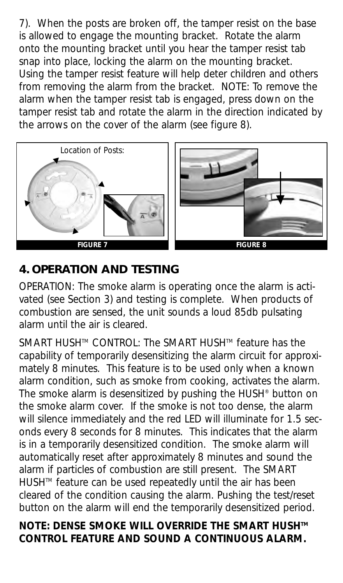7). When the posts are broken off, the tamper resist on the base is allowed to engage the mounting bracket. Rotate the alarm onto the mounting bracket until you hear the tamper resist tab snap into place, locking the alarm on the mounting bracket. Using the tamper resist feature will help deter children and others from removing the alarm from the bracket. NOTE: To remove the alarm when the tamper resist tab is engaged, press down on the tamper resist tab and rotate the alarm in the direction indicated by the arrows on the cover of the alarm (see figure 8).



## **4. OPERATION AND TESTING**

OPERATION: The smoke alarm is operating once the alarm is activated (see Section 3) and testing is complete. When products of combustion are sensed, the unit sounds a loud 85db pulsating alarm until the air is cleared.

SMART HUSH™ CONTROL: The SMART HUSH™ feature has the capability of temporarily desensitizing the alarm circuit for approximately 8 minutes. This feature is to be used only when a known alarm condition, such as smoke from cooking, activates the alarm. The smoke alarm is desensitized by pushing the HUSH® button on the smoke alarm cover. If the smoke is not too dense, the alarm will silence immediately and the red LED will illuminate for 1.5 seconds every 8 seconds for 8 minutes. This indicates that the alarm is in a temporarily desensitized condition. The smoke alarm will automatically reset after approximately 8 minutes and sound the alarm if particles of combustion are still present. The SMART HUSHTM feature can be used repeatedly until the air has been cleared of the condition causing the alarm. Pushing the test/reset button on the alarm will end the temporarily desensitized period.

#### **NOTE: DENSE SMOKE WILL OVERRIDE THE SMART HUSH™ CONTROL FEATURE AND SOUND A CONTINUOUS ALARM.**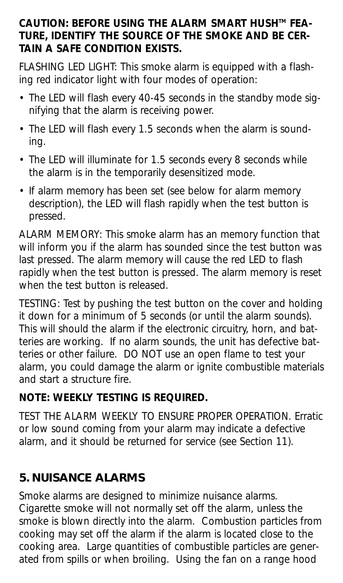#### CAUTION: BEFORE USING THE ALARM SMART HUSH™ FEA-**TURE, IDENTIFY THE SOURCE OF THE SMOKE AND BE CER-TAIN A SAFE CONDITION EXISTS.**

FLASHING LED LIGHT: This smoke alarm is equipped with a flashing red indicator light with four modes of operation:

- The LED will flash every 40-45 seconds in the standby mode signifying that the alarm is receiving power.
- The LED will flash every 1.5 seconds when the alarm is sounding.
- The LED will illuminate for 1.5 seconds every 8 seconds while the alarm is in the temporarily desensitized mode.
- If alarm memory has been set (see below for alarm memory description), the LED will flash rapidly when the test button is pressed.

ALARM MEMORY: This smoke alarm has an memory function that will inform you if the alarm has sounded since the test button was last pressed. The alarm memory will cause the red LED to flash rapidly when the test button is pressed. The alarm memory is reset when the test button is released.

TESTING: Test by pushing the test button on the cover and holding it down for a minimum of 5 seconds (or until the alarm sounds). This will should the alarm if the electronic circuitry, horn, and batteries are working. If no alarm sounds, the unit has defective batteries or other failure. DO NOT use an open flame to test your alarm, you could damage the alarm or ignite combustible materials and start a structure fire.

#### **NOTE: WEEKLY TESTING IS REQUIRED.**

TEST THE ALARM WEEKLY TO ENSURE PROPER OPERATION. Erratic or low sound coming from your alarm may indicate a defective alarm, and it should be returned for service (see Section 11).

# **5. NUISANCE ALARMS**

Smoke alarms are designed to minimize nuisance alarms. Cigarette smoke will not normally set off the alarm, unless the smoke is blown directly into the alarm. Combustion particles from cooking may set off the alarm if the alarm is located close to the cooking area. Large quantities of combustible particles are generated from spills or when broiling. Using the fan on a range hood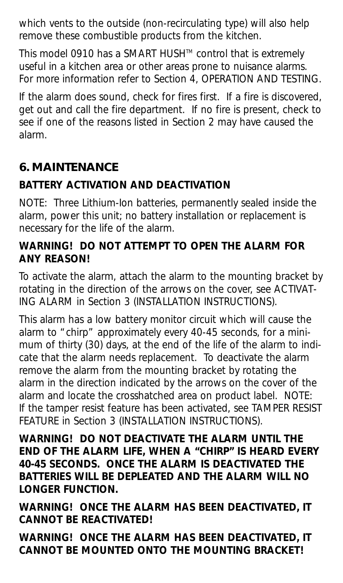which vents to the outside (non-recirculating type) will also help remove these combustible products from the kitchen.

This model 0910 has a SMART HUSH™ control that is extremely useful in a kitchen area or other areas prone to nuisance alarms. For more information refer to Section 4, OPERATION AND TESTING.

If the alarm does sound, check for fires first. If a fire is discovered, get out and call the fire department. If no fire is present, check to see if one of the reasons listed in Section 2 may have caused the alarm.

# **6. MAINTENANCE**

## **BATTERY ACTIVATION AND DEACTIVATION**

NOTE: Three Lithium-Ion batteries, permanently sealed inside the alarm, power this unit; no battery installation or replacement is necessary for the life of the alarm.

#### **WARNING! DO NOT ATTEMPT TO OPEN THE ALARM FOR ANY REASON!**

To activate the alarm, attach the alarm to the mounting bracket by rotating in the direction of the arrows on the cover, see ACTIVAT-ING ALARM in Section 3 (INSTALLATION INSTRUCTIONS).

This alarm has a low battery monitor circuit which will cause the alarm to "chirp" approximately every 40-45 seconds, for a minimum of thirty (30) days, at the end of the life of the alarm to indicate that the alarm needs replacement. To deactivate the alarm remove the alarm from the mounting bracket by rotating the alarm in the direction indicated by the arrows on the cover of the alarm and locate the crosshatched area on product label. NOTE: If the tamper resist feature has been activated, see TAMPER RESIST FEATURE in Section 3 (INSTALLATION INSTRUCTIONS).

**WARNING! DO NOT DEACTIVATE THE ALARM UNTIL THE END OF THE ALARM LIFE, WHEN A "CHIRP" IS HEARD EVERY 40-45 SECONDS. ONCE THE ALARM IS DEACTIVATED THE BATTERIES WILL BE DEPLEATED AND THE ALARM WILL NO LONGER FUNCTION.**

**WARNING! ONCE THE ALARM HAS BEEN DEACTIVATED, IT CANNOT BE REACTIVATED!**

**WARNING! ONCE THE ALARM HAS BEEN DEACTIVATED, IT CANNOT BE MOUNTED ONTO THE MOUNTING BRACKET!**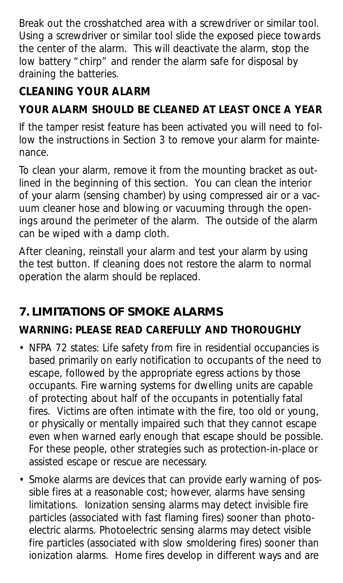Break out the crosshatched area with a screwdriver or similar tool. Using a screwdriver or similar tool slide the exposed piece towards the center of the alarm. This will deactivate the alarm, stop the low battery "chirp" and render the alarm safe for disposal by draining the batteries.

# **CLEANING YOUR ALARM**

## **YOUR ALARM SHOULD BE CLEANED AT LEAST ONCE A YEAR**

If the tamper resist feature has been activated you will need to follow the instructions in Section 3 to remove your alarm for maintenance.

To clean your alarm, remove it from the mounting bracket as outlined in the beginning of this section. You can clean the interior of your alarm (sensing chamber) by using compressed air or a vacuum cleaner hose and blowing or vacuuming through the openings around the perimeter of the alarm. The outside of the alarm can be wiped with a damp cloth.

After cleaning, reinstall your alarm and test your alarm by using the test button. If cleaning does not restore the alarm to normal operation the alarm should be replaced.

# **7. LIMITATIONS OF SMOKE ALARMS**

## **WARNING: PLEASE READ CAREFULLY AND THOROUGHLY**

- NFPA 72 states: Life safety from fire in residential occupancies is based primarily on early notification to occupants of the need to escape, followed by the appropriate egress actions by those occupants. Fire warning systems for dwelling units are capable of protecting about half of the occupants in potentially fatal fires. Victims are often intimate with the fire, too old or young, or physically or mentally impaired such that they cannot escape even when warned early enough that escape should be possible. For these people, other strategies such as protection-in-place or assisted escape or rescue are necessary.
- Smoke alarms are devices that can provide early warning of possible fires at a reasonable cost; however, alarms have sensing limitations. Ionization sensing alarms may detect invisible fire particles (associated with fast flaming fires) sooner than photoelectric alarms. Photoelectric sensing alarms may detect visible fire particles (associated with slow smoldering fires) sooner than ionization alarms. Home fires develop in different ways and are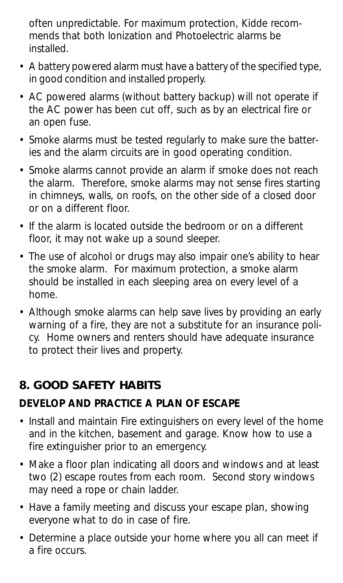often unpredictable. For maximum protection, Kidde recommends that both Ionization and Photoelectric alarms be installed.

- A battery powered alarm must have a battery of the specified type, in good condition and installed properly.
- AC powered alarms (without battery backup) will not operate if the AC power has been cut off, such as by an electrical fire or an open fuse.
- Smoke alarms must be tested regularly to make sure the batteries and the alarm circuits are in good operating condition.
- Smoke alarms cannot provide an alarm if smoke does not reach the alarm. Therefore, smoke alarms may not sense fires starting in chimneys, walls, on roofs, on the other side of a closed door or on a different floor.
- If the alarm is located outside the bedroom or on a different floor, it may not wake up a sound sleeper.
- The use of alcohol or drugs may also impair one's ability to hear the smoke alarm. For maximum protection, a smoke alarm should be installed in each sleeping area on every level of a home.
- Although smoke alarms can help save lives by providing an early warning of a fire, they are not a substitute for an insurance policy. Home owners and renters should have adequate insurance to protect their lives and property.

## **8. GOOD SAFETY HABITS**

## **DEVELOP AND PRACTICE A PLAN OF ESCAPE**

- Install and maintain Fire extinguishers on every level of the home and in the kitchen, basement and garage. Know how to use a fire extinguisher prior to an emergency.
- Make a floor plan indicating all doors and windows and at least two (2) escape routes from each room. Second story windows may need a rope or chain ladder.
- Have a family meeting and discuss your escape plan, showing everyone what to do in case of fire.
- Determine a place outside your home where you all can meet if a fire occurs.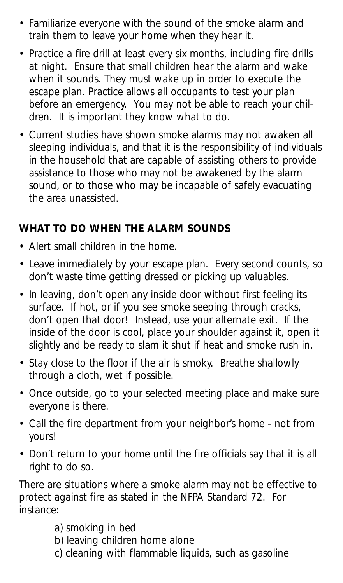- Familiarize everyone with the sound of the smoke alarm and train them to leave your home when they hear it.
- Practice a fire drill at least every six months, including fire drills at night. Ensure that small children hear the alarm and wake when it sounds. They must wake up in order to execute the escape plan. Practice allows all occupants to test your plan before an emergency. You may not be able to reach your children. It is important they know what to do.
- Current studies have shown smoke alarms may not awaken all sleeping individuals, and that it is the responsibility of individuals in the household that are capable of assisting others to provide assistance to those who may not be awakened by the alarm sound, or to those who may be incapable of safely evacuating the area unassisted.

#### **WHAT TO DO WHEN THE ALARM SOUNDS**

- Alert small children in the home.
- Leave immediately by your escape plan. Every second counts, so don't waste time getting dressed or picking up valuables.
- In leaving, don't open any inside door without first feeling its surface. If hot, or if you see smoke seeping through cracks, don't open that door! Instead, use your alternate exit. If the inside of the door is cool, place your shoulder against it, open it slightly and be ready to slam it shut if heat and smoke rush in.
- Stay close to the floor if the air is smoky. Breathe shallowly through a cloth, wet if possible.
- Once outside, go to your selected meeting place and make sure everyone is there.
- Call the fire department from your neighbor's home not from yours!
- Don't return to your home until the fire officials say that it is all right to do so.

There are situations where a smoke alarm may not be effective to protect against fire as stated in the NFPA Standard 72. For instance:

- a) smoking in bed
- b) leaving children home alone
- c) cleaning with flammable liquids, such as gasoline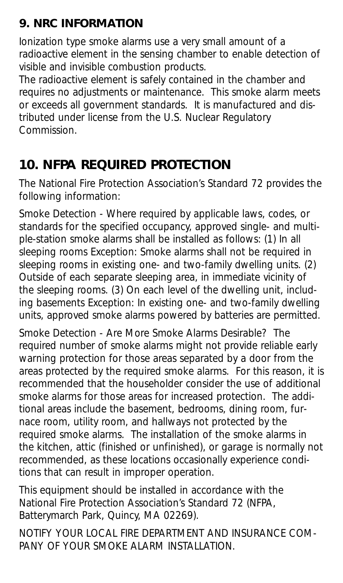# **9. NRC INFORMATION**

Ionization type smoke alarms use a very small amount of a radioactive element in the sensing chamber to enable detection of visible and invisible combustion products.

The radioactive element is safely contained in the chamber and requires no adjustments or maintenance. This smoke alarm meets or exceeds all government standards. It is manufactured and distributed under license from the U.S. Nuclear Regulatory **Commission** 

# **10. NFPA REQUIRED PROTECTION**

The National Fire Protection Association's Standard 72 provides the following information:

Smoke Detection - Where required by applicable laws, codes, or standards for the specified occupancy, approved single- and multiple-station smoke alarms shall be installed as follows: (1) In all sleeping rooms Exception: Smoke alarms shall not be required in sleeping rooms in existing one- and two-family dwelling units. (2) Outside of each separate sleeping area, in immediate vicinity of the sleeping rooms. (3) On each level of the dwelling unit, including basements Exception: In existing one- and two-family dwelling units, approved smoke alarms powered by batteries are permitted.

Smoke Detection - Are More Smoke Alarms Desirable? The required number of smoke alarms might not provide reliable early warning protection for those areas separated by a door from the areas protected by the required smoke alarms. For this reason, it is recommended that the householder consider the use of additional smoke alarms for those areas for increased protection. The additional areas include the basement, bedrooms, dining room, furnace room, utility room, and hallways not protected by the required smoke alarms. The installation of the smoke alarms in the kitchen, attic (finished or unfinished), or garage is normally not recommended, as these locations occasionally experience conditions that can result in improper operation.

This equipment should be installed in accordance with the National Fire Protection Association's Standard 72 (NFPA, Batterymarch Park, Quincy, MA 02269).

NOTIFY YOUR LOCAL FIRE DEPARTMENT AND INSURANCE COM-PANY OF YOUR SMOKE ALARM INSTALLATION.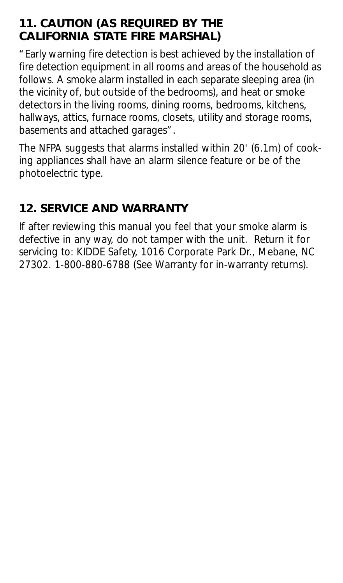## **11. CAUTION (AS REQUIRED BY THE CALIFORNIA STATE FIRE MARSHAL)**

"Early warning fire detection is best achieved by the installation of fire detection equipment in all rooms and areas of the household as follows. A smoke alarm installed in each separate sleeping area (in the vicinity of, but outside of the bedrooms), and heat or smoke detectors in the living rooms, dining rooms, bedrooms, kitchens, hallways, attics, furnace rooms, closets, utility and storage rooms, basements and attached garages".

The NFPA suggests that alarms installed within 20' (6.1m) of cooking appliances shall have an alarm silence feature or be of the photoelectric type.

# **12. SERVICE AND WARRANTY**

If after reviewing this manual you feel that your smoke alarm is defective in any way, do not tamper with the unit. Return it for servicing to: KIDDE Safety, 1016 Corporate Park Dr., Mebane, NC 27302. 1-800-880-6788 (See Warranty for in-warranty returns).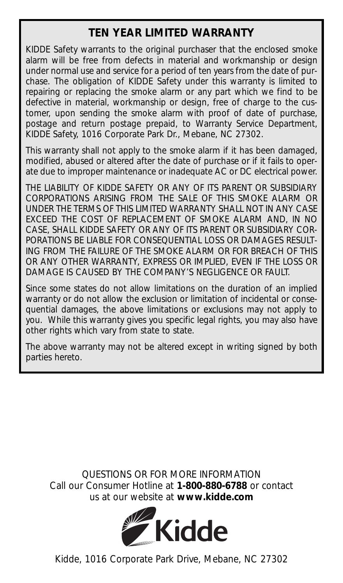#### **TEN YEAR LIMITED WARRANTY**

KIDDE Safety warrants to the original purchaser that the enclosed smoke alarm will be free from defects in material and workmanship or design under normal use and service for a period of ten years from the date of purchase. The obligation of KIDDE Safety under this warranty is limited to repairing or replacing the smoke alarm or any part which we find to be defective in material, workmanship or design, free of charge to the customer, upon sending the smoke alarm with proof of date of purchase, postage and return postage prepaid, to Warranty Service Department, KIDDE Safety, 1016 Corporate Park Dr., Mebane, NC 27302.

This warranty shall not apply to the smoke alarm if it has been damaged. modified, abused or altered after the date of purchase or if it fails to operate due to improper maintenance or inadequate AC or DC electrical power.

THE LIABILITY OF KIDDE SAFETY OR ANY OF ITS PARENT OR SUBSIDIARY CORPORATIONS ARISING FROM THE SALE OF THIS SMOKE ALARM OR UNDER THE TERMS OF THIS LIMITED WARRANTY SHALL NOT IN ANY CASE EXCEED THE COST OF REPLACEMENT OF SMOKE ALARM AND, IN NO CASE, SHALL KIDDE SAFETY OR ANY OF ITS PARENT OR SUBSIDIARY COR-PORATIONS BE LIABLE FOR CONSEQUENTIAL LOSS OR DAMAGES RESULT-ING FROM THE FAILURE OF THE SMOKE ALARM OR FOR BREACH OF THIS OR ANY OTHER WARRANTY, EXPRESS OR IMPLIED, EVEN IF THE LOSS OR DAMAGE IS CAUSED BY THE COMPANY'S NEGLIGENCE OR FAULT.

Since some states do not allow limitations on the duration of an implied warranty or do not allow the exclusion or limitation of incidental or consequential damages, the above limitations or exclusions may not apply to you. While this warranty gives you specific legal rights, you may also have other rights which vary from state to state.

The above warranty may not be altered except in writing signed by both parties hereto.

*QUESTIONS OR FOR MORE INFORMATION* Call our Consumer Hotline at **1-800-880-6788** or contact us at our website at **www.kidde.com**



Kidde, 1016 Corporate Park Drive, Mebane, NC 27302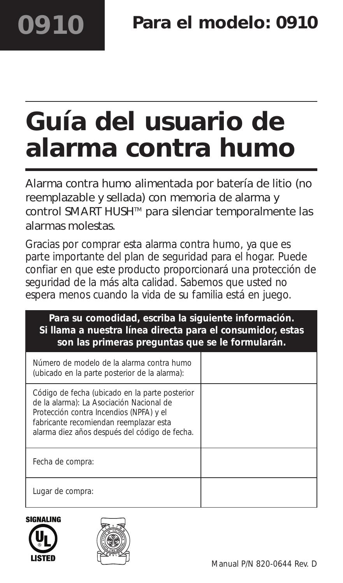# **Guía del usuario de alarma contra humo**

Alarma contra humo alimentada por batería de litio (no reemplazable y sellada) con memoria de alarma y control SMART HUSH™ para silenciar temporalmente las alarmas molestas.

Gracias por comprar esta alarma contra humo, ya que es parte importante del plan de seguridad para el hogar. Puede confiar en que este producto proporcionará una protección de seguridad de la más alta calidad. Sabemos que usted no espera menos cuando la vida de su familia está en juego.

| Para su comodidad, escriba la siguiente información.<br>Si llama a nuestra línea directa para el consumidor, estas<br>son las primeras preguntas que se le formularán.                                                           |  |  |
|----------------------------------------------------------------------------------------------------------------------------------------------------------------------------------------------------------------------------------|--|--|
| Número de modelo de la alarma contra humo<br>(ubicado en la parte posterior de la alarma):                                                                                                                                       |  |  |
| Código de fecha (ubicado en la parte posterior<br>de la alarma): La Asociación Nacional de<br>Protección contra Incendios (NPFA) y el<br>fabricante recomiendan reemplazar esta<br>alarma diez años después del código de fecha. |  |  |
| Fecha de compra:                                                                                                                                                                                                                 |  |  |
| Lugar de compra:                                                                                                                                                                                                                 |  |  |



**0910**

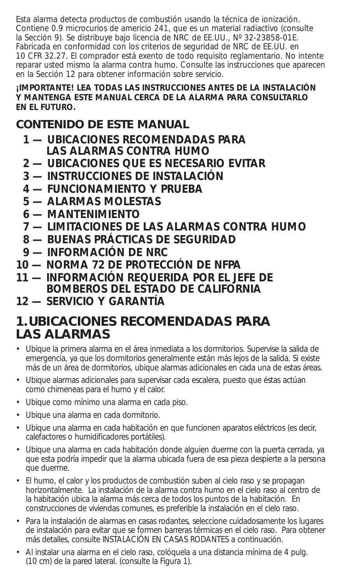Esta alarma detecta productos de combustión usando la técnica de ionización. Contiene 0.9 microcurios de americio 241, que es un material radiactivo (consulte la Sección 9). Se distribuye bajo licencia de NRC de EE.UU., Nº 32-23858-01E. Fabricada en conformidad con los criterios de seguridad de NRC de EE.UU. en 10 CFR 32.27. El comprador está exento de todo requisito reglamentario. No intente reparar usted mismo la alarma contra humo. Consulte las instrucciones que aparecen en la Sección 12 para obtener información sobre servicio.

#### **¡IMPORTANTE! LEA TODAS LAS INSTRUCCIONES ANTES DE LA INSTALACIÓN Y MANTENGA ESTE MANUAL CERCA DE LA ALARMA PARA CONSULTARLO EN EL FUTURO.**

## **CONTENIDO DE ESTE MANUAL**

- **1 — UBICACIONES RECOMENDADAS PARA LAS ALARMAS CONTRA HUMO**
- **2 — UBICACIONES QUE ES NECESARIO EVITAR**
- **3 — INSTRUCCIONES DE INSTALACIÓN**
- **4 — FUNCIONAMIENTO Y PRUEBA**
- **5 — ALARMAS MOLESTAS**
- **6 — MANTENIMIENTO**
- **7 — LIMITACIONES DE LAS ALARMAS CONTRA HUMO**
- **8 — BUENAS PRÁCTICAS DE SEGURIDAD**
- **9 — INFORMACIÓN DE NRC**
- **10 NORMA 72 DE PROTECCIÓN DE NFPA**
- **11 INFORMACIÓN REQUERIDA POR EL JEFE DE BOMBEROS DEL ESTADO DE CALIFORNIA**
- **12 SERVICIO Y GARANTÍA**

#### **1.UBICACIONES RECOMENDADAS PARA LAS ALARMAS**

- Ubique la primera alarma en el área inmediata a los dormitorios. Supervise la salida de emergencia, ya que los dormitorios generalmente están más lejos de la salida. Si existe más de un área de dormitorios, ubique alarmas adicionales en cada una de estas áreas.
- Ubique alarmas adicionales para supervisar cada escalera, puesto que éstas actúan como chimeneas para el humo y el calor.
- Ubique como mínimo una alarma en cada piso.
- Ubique una alarma en cada dormitorio.
- Ubique una alarma en cada habitación en que funcionen aparatos eléctricos (es decir, calefactores o humidificadores portátiles).
- Ubique una alarma en cada habitación donde alguien duerme con la puerta cerrada, ya que esta podría impedir que la alarma ubicada fuera de esa pieza despierte a la persona que duerme.
- El humo, el calor y los productos de combustión suben al cielo raso y se propagan horizontalmente. La instalación de la alarma contra humo en el cielo raso al centro de la habitación ubica la alarma más cerca de todos los puntos de la habitación. En construcciones de viviendas comunes, es preferible la instalación en el cielo raso.
- Para la instalación de alarmas en casas rodantes, seleccione cuidadosamente los lugares de instalación para evitar que se formen barreras térmicas en el cielo raso. Para obtener más detalles, consulte INSTALACIÓN EN CASAS RODANTES a continuación.
- Al instalar una alarma en el cielo raso, colóquela a una distancia mínima de 4 pulg. (10 cm) de la pared lateral. (consulte la Figura 1).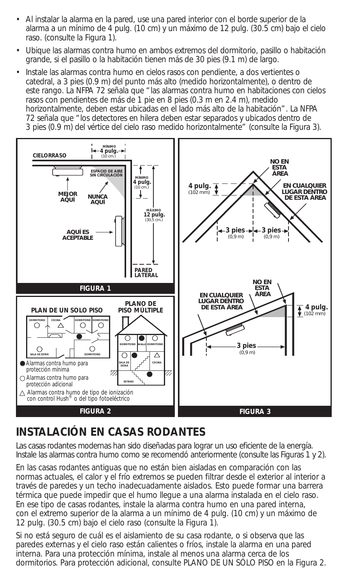- **A** linstalar la alarma en la pared, use una pared interior con el borde superior de la<br> **ALUÍ PLAN DE UN SOLO PISO** (1999) alarma a un mínimo de 4 pulg. (10 cm) y un máximo de 12 pulg. (30.5 cm) bajo el cielo raso. (consulte la Figura 1). rde superior<br>|. (30.5 cm) b<br>| prio, pasillo o<br>| de largo.
- Ubique las alarmas contra humo en ambos extremos del dormitorio, pasillo o habitación grande, si el pasillo o la habitación tienen más de 30 pies (9.1 m) de largo.
- Instale las alarmas contra humo en cielos rasos con pendiente, a dos vertientes o catedral, a 3 pies (0.9 m) del punto más alto (medido horizontalmente), o dentro de este rango. La NFPA 72 señala que "las alarmas contra humo en habitaciones con cielos rasos con pendientes de más de 1 pie en 8 pies (0.3 m en 2.4 m), medido horizontalmente, deben estar ubicadas en el lado más alto de la habitación". La NFPA 72 señala que "los detectores en hilera deben estar separados y ubicados dentro de 72 señala que " los detectores en hilera deben estar separados y ubicados dentro de<br>3 pies (0.9 m) del vértice del cielo raso medido horizontalmente" (consulte la Figura 3). **DORMITOR 4**<br> **DESPERSE CORP (2014)**<br> **DESPERSE CORP (2014)**<br> **DORMITORIO CORP (2014)**<br> **DESPERSE CORP (2014)**<br> **DESPERSE CORP (2014)**<br> **DESPERSE CORP (2014)**<br> **DESPERSE CORP (2014)**<br> **DESPERSE CORP (2014)**



#### **INSTALACIÓN EN CASAS RODANTES** *EN CUALQUIER LUGAR DENTRO DE ESTA ÁREA*

Las casas rodantes modernas han sido diseñadas para lograr un uso eficiente de la energía. (102 mm) *NO EN ESTA*  Instale las alarmas contra humo como se recomendó anteriormente (consulte las Figuras 1 y 2). **3 pies 3 pies** *NO EN ESTA ÁREA*

**En las casas rodantes antiguas que no están bien aisladas en comparación con las has eases redantes antiguas que no estan bien alsidas en comparación con las formas actuales, el calor y el frío extremos se pueden filtrar desde el exterior al interior a** través de paredes y un techo inadecuadamente aislados. Esto puede formar una barrera térmica que puede impedir que el humo llegue a una alarma instalada en el cielo raso. En ese tipo de casas rodantes, instale la alarma contra humo en una pared interna, **3 pies** con el extremo superior de la alarma a un mínimo de 4 pulg. (10 cm) y un máximo de **3 pies** (0,9 m) 12 pulg. (30.5 cm) bajo el cielo raso (consulte la Figura 1).

Si no está seguro de cuál es el aislamiento de su casa rodante, o si observa que las paredes externas y el cielo raso están calientes o fríos, instale la alarma en una pared interna. Para una protección mínima, instale al menos una alarma cerca de los dormitorios. Para protección adicional, consulte PLANO DE UN SÓLO PISO en la Figura 2.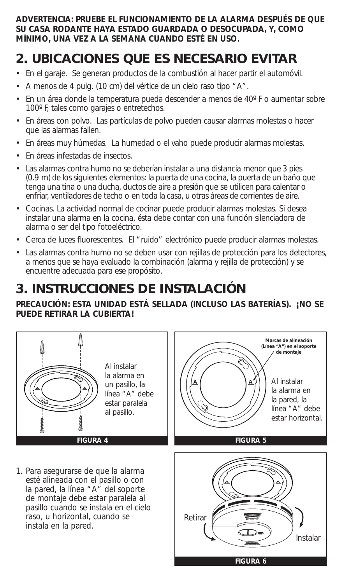**ADVERTENCIA: PRUEBE EL FUNCIONAMIENTO DE LA ALARMA DESPUÉS DE QUE SU CASA RODANTE HAYA ESTADO GUARDADA O DESOCUPADA, Y, COMO MÍNIMO, UNA VEZ A LA SEMANA CUANDO ESTÉ EN USO.**

# **2. UBICACIONES QUE ES NECESARIO EVITAR**

- En el garaje. Se generan productos de la combustión al hacer partir el automóvil.
- A menos de 4 pulg. (10 cm) del vértice de un cielo raso tipo "A".
- En un área donde la temperatura pueda descender a menos de 40º F o aumentar sobre 100º F, tales como garajes o entretechos.
- En áreas con polvo. Las partículas de polvo pueden causar alarmas molestas o hacer que las alarmas fallen.
- En áreas muy húmedas. La humedad o el vaho puede producir alarmas molestas.
- En áreas infestadas de insectos.
- Las alarmas contra humo no se deberían instalar a una distancia menor que 3 pies (0.9 m) de los siguientes elementos: la puerta de una cocina, la puerta de un baño que tenga una tina o una ducha, ductos de aire a presión que se utilicen para calentar o enfriar, ventiladores de techo o en toda la casa, u otras áreas de corrientes de aire.
- Cocinas. La actividad normal de cocinar puede producir alarmas molestas. Si desea instalar una alarma en la cocina, ésta debe contar con una función silenciadora de alarma o ser del tipo fotoeléctrico.
- Cerca de luces fluorescentes. El "ruido" electrónico puede producir alarmas molestas.
- Las alarmas contra humo no se deben usar con rejillas de protección para los detectores, a menos que se haya evaluado la combinación (alarma y rejilla de protección) y se encuentre adecuada para ese propósito.

# **3. INSTRUCCIONES DE INSTALACIÓN**

#### **PRECAUCIÓN: ESTA UNIDAD ESTÁ SELLADA (INCLUSO LAS BATERÍAS). ¡NO SE PUEDE RETIRAR LA CUBIERTA!**

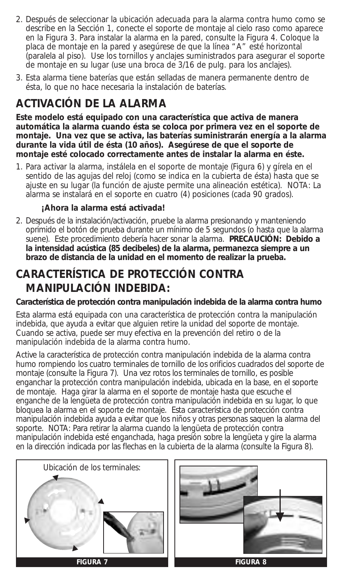- 2. Después de seleccionar la ubicación adecuada para la alarma contra humo como se describe en la Sección 1, conecte el soporte de montaje al cielo raso como aparece en la Figura 3. Para instalar la alarma en la pared, consulte la Figura 4. Coloque la placa de montaje en la pared y asegúrese de que la línea "A" esté horizontal (paralela al piso). Use los tornillos y anclajes suministrados para asegurar el soporte de montaje en su lugar (use una broca de 3/16 de pulg. para los anclajes).
- 3. Esta alarma tiene baterías que están selladas de manera permanente dentro de ésta, lo que no hace necesaria la instalación de baterías.

#### **ACTIVACIÓN DE LA ALARMA**

**Este modelo está equipado con una característica que activa de manera automática la alarma cuando ésta se coloca por primera vez en el soporte de montaje. Una vez que se activa, las baterías suministrarán energía a la alarma durante la vida útil de ésta (10 años). Asegúrese de que el soporte de montaje esté colocado correctamente antes de instalar la alarma en éste.**

1. Para activar la alarma, instálela en el soporte de montaje (Figura 6) y gírela en el sentido de las agujas del reloj (como se indica en la cubierta de ésta) hasta que se ajuste en su lugar (la función de ajuste permite una alineación estética). NOTA: La alarma se instalará en el soporte en cuatro (4) posiciones (cada 90 grados).

#### **¡Ahora la alarma está activada!**

2. Después de la instalación/activación, pruebe la alarma presionando y manteniendo oprimido el botón de prueba durante un mínimo de 5 segundos (o hasta que la alarma suene). Este procedimiento debería hacer sonar la alarma. **PRECAUCIÓN: Debido a la intensidad acústica (85 decibeles) de la alarma, permanezca siempre a un brazo de distancia de la unidad en el momento de realizar la prueba.**

## **CARACTERÍSTICA DE PROTECCIÓN CONTRA MANIPULACIÓN INDEBIDA:**

#### **Característica de protección contra manipulación indebida de la alarma contra humo**

Esta alarma está equipada con una característica de protección contra la manipulación indebida, que ayuda a evitar que alguien retire la unidad del soporte de montaje. Cuando se activa, puede ser muy efectiva en la prevención del retiro o de la manipulación indebida de la alarma contra humo.

Active la característica de protección contra manipulación indebida de la alarma contra humo rompiendo los cuatro terminales de tornillo de los orificios cuadrados del soporte de montaje (consulte la Figura 7). Una vez rotos los terminales de tornillo, es posible enganchar la protección contra manipulación indebida, ubicada en la base, en el soporte de montaje. Haga girar la alarma en el soporte de montaje hasta que escuche el enganche de la lengüeta de protección contra manipulación indebida en su lugar, lo que bloquea la alarma en el soporte de montaje. Esta característica de protección contra manipulación indebida ayuda a evitar que los niños y otras personas saquen la alarma del soporte. NOTA: Para retirar la alarma cuando la lengüeta de protección contra manipulación indebida esté enganchada, haga presión sobre la lengüeta y gire la alarma en la dirección indicada por las flechas en la cubierta de la alarma (consulte la Figura 8).



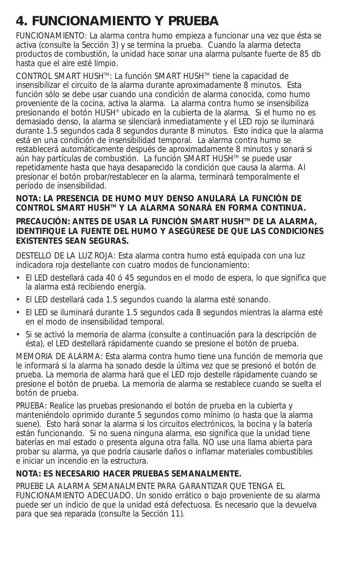# **4. FUNCIONAMIENTO Y PRUEBA**

FUNCIONAMIENTO: La alarma contra humo empieza a funcionar una vez que ésta se activa (consulte la Sección 3) y se termina la prueba. Cuando la alarma detecta productos de combustión, la unidad hace sonar una alarma pulsante fuerte de 85 db hasta que el aire esté limpio.

CONTROL SMART HUSHTM: La función SMART HUSHTM tiene la capacidad de insensibilizar el circuito de la alarma durante aproximadamente 8 minutos. Esta función sólo se debe usar cuando una condición de alarma conocida, como humo proveniente de la cocina, activa la alarma. La alarma contra humo se insensibiliza presionando el botón HUSH® ubicado en la cubierta de la alarma. Si el humo no es demasiado denso, la alarma se silenciará inmediatamente y el LED rojo se iluminará durante 1.5 segundos cada 8 segundos durante 8 minutos. Esto indica que la alarma está en una condición de insensibilidad temporal. La alarma contra humo se restablecerá automáticamente después de aproximadamente 8 minutos y sonará si aún hay partículas de combustión. La función SMART HUSH™ se puede usar repetidamente hasta que haya desaparecido la condición que causa la alarma. Al presionar el botón probar/restablecer en la alarma, terminará temporalmente el período de insensibilidad.

#### **NOTA: LA PRESENCIA DE HUMO MUY DENSO ANULARÁ LA FUNCIÓN DE CONTROL SMART HUSHTM Y LA ALARMA SONARÁ EN FORMA CONTINUA.**

#### **PRECAUCIÓN: ANTES DE USAR LA FUNCIÓN SMART HUSH™ DE LA ALARMA. IDENTIFIQUE LA FUENTE DEL HUMO Y ASEGÚRESE DE QUE LAS CONDICIONES EXISTENTES SEAN SEGURAS.**

DESTELLO DE LA LUZ ROJA: Esta alarma contra humo está equipada con una luz indicadora roja destellante con cuatro modos de funcionamiento:

- El LED destellará cada 40 ó 45 segundos en el modo de espera, lo que significa que la alarma está recibiendo energía.
- El LED destellará cada 1.5 segundos cuando la alarma esté sonando.
- El LED se iluminará durante 1.5 segundos cada 8 segundos mientras la alarma esté en el modo de insensibilidad temporal.
- Si se activó la memoria de alarma (consulte a continuación para la descripción de ésta), el LED destellará rápidamente cuando se presione el botón de prueba.

MEMORIA DE ALARMA: Esta alarma contra humo tiene una función de memoria que le informará si la alarma ha sonado desde la última vez que se presionó el botón de prueba. La memoria de alarma hará que el LED rojo destelle rápidamente cuando se presione el botón de prueba. La memoria de alarma se restablece cuando se suelta el botón de prueba.

PRUEBA: Realice las pruebas presionando el botón de prueba en la cubierta y manteniéndolo oprimido durante 5 segundos como mínimo (o hasta que la alarma suene). Esto hará sonar la alarma si los circuitos electrónicos, la bocina y la batería están funcionando. Si no suena ninguna alarma, eso significa que la unidad tiene baterías en mal estado o presenta alguna otra falla. NO use una llama abierta para probar su alarma, ya que podría causarle daños o inflamar materiales combustibles e iniciar un incendio en la estructura.

#### **NOTA: ES NECESARIO HACER PRUEBAS SEMANALMENTE.**

PRUEBE LA ALARMA SEMANALMENTE PARA GARANTIZAR QUE TENGA EL FUNCIONAMIENTO ADECUADO. Un sonido errático o bajo proveniente de su alarma puede ser un indicio de que la unidad está defectuosa. Es necesario que la devuelva para que sea reparada (consulte la Sección 11).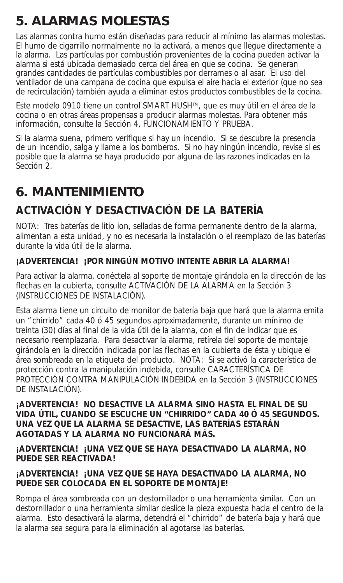# **5. ALARMAS MOLESTAS**

Las alarmas contra humo están diseñadas para reducir al mínimo las alarmas molestas. El humo de cigarrillo normalmente no la activará, a menos que llegue directamente a la alarma. Las partículas por combustión provenientes de la cocina pueden activar la alarma si está ubicada demasiado cerca del área en que se cocina. Se generan grandes cantidades de partículas combustibles por derrames o al asar. El uso del ventilador de una campana de cocina que expulsa el aire hacia el exterior (que no sea de recirculación) también ayuda a eliminar estos productos combustibles de la cocina.

Este modelo 0910 tiene un control SMART HUSH™, que es muy útil en el área de la cocina o en otras áreas propensas a producir alarmas molestas. Para obtener más información, consulte la Sección 4, FUNCIONAMIENTO Y PRUEBA.

Si la alarma suena, primero verifique si hay un incendio. Si se descubre la presencia de un incendio, salga y llame a los bomberos. Si no hay ningún incendio, revise si es posible que la alarma se haya producido por alguna de las razones indicadas en la Sección 2.

# **6. MANTENIMIENTO**

# **ACTIVACIÓN Y DESACTIVACIÓN DE LA BATERÍA**

NOTA: Tres baterías de litio ion, selladas de forma permanente dentro de la alarma, alimentan a esta unidad, y no es necesaria la instalación o el reemplazo de las baterías durante la vida útil de la alarma.

#### **¡ADVERTENCIA! ¡POR NINGÚN MOTIVO INTENTE ABRIR LA ALARMA!**

Para activar la alarma, conéctela al soporte de montaje girándola en la dirección de las flechas en la cubierta, consulte ACTIVACIÓN DE LA ALARMA en la Sección 3 (INSTRUCCIONES DE INSTALACIÓN).

Esta alarma tiene un circuito de monitor de batería baja que hará que la alarma emita un "chirrido" cada 40 ó 45 segundos aproximadamente, durante un mínimo de treinta (30) días al final de la vida útil de la alarma, con el fin de indicar que es necesario reemplazarla. Para desactivar la alarma, retírela del soporte de montaje girándola en la dirección indicada por las flechas en la cubierta de ésta y ubique el área sombreada en la etiqueta del producto. NOTA: Si se activó la característica de protección contra la manipulación indebida, consulte CARACTERÍSTICA DE PROTECCIÓN CONTRA MANIPULACIÓN INDEBIDA en la Sección 3 (INSTRUCCIONES DE INSTALACIÓN).

**¡ADVERTENCIA! NO DESACTIVE LA ALARMA SINO HASTA EL FINAL DE SU VIDA ÚTIL, CUANDO SE ESCUCHE UN "CHIRRIDO" CADA 40 Ó 45 SEGUNDOS. UNA VEZ QUE LA ALARMA SE DESACTIVE, LAS BATERÍAS ESTARÁN AGOTADAS Y LA ALARMA NO FUNCIONARÁ MÁS.** 

**¡ADVERTENCIA! ¡UNA VEZ QUE SE HAYA DESACTIVADO LA ALARMA, NO PUEDE SER REACTIVADA!** 

#### **¡ADVERTENCIA! ¡UNA VEZ QUE SE HAYA DESACTIVADO LA ALARMA, NO PUEDE SER COLOCADA EN EL SOPORTE DE MONTAJE!**

Rompa el área sombreada con un destornillador o una herramienta similar. Con un destornillador o una herramienta similar deslice la pieza expuesta hacia el centro de la alarma. Esto desactivará la alarma, detendrá el "chirrido" de batería baja y hará que la alarma sea segura para la eliminación al agotarse las baterías.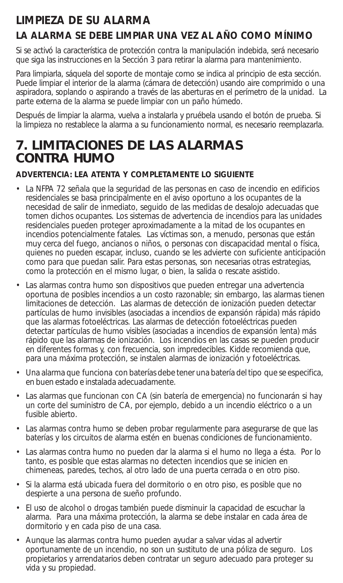## **LIMPIEZA DE SU ALARMA**

#### **LA ALARMA SE DEBE LIMPIAR UNA VEZ AL AÑO COMO MÍNIMO**

Si se activó la característica de protección contra la manipulación indebida, será necesario que siga las instrucciones en la Sección 3 para retirar la alarma para mantenimiento.

Para limpiarla, sáquela del soporte de montaje como se indica al principio de esta sección. Puede limpiar el interior de la alarma (cámara de detección) usando aire comprimido o una aspiradora, soplando o aspirando a través de las aberturas en el perímetro de la unidad. La parte externa de la alarma se puede limpiar con un paño húmedo.

Después de limpiar la alarma, vuelva a instalarla y pruébela usando el botón de prueba. Si la limpieza no restablece la alarma a su funcionamiento normal, es necesario reemplazarla.

# **7. LIMITACIONES DE LAS ALARMAS CONTRA HUMO**

#### **ADVERTENCIA: LEA ATENTA Y COMPLETAMENTE LO SIGUIENTE**

- La NFPA 72 señala que la seguridad de las personas en caso de incendio en edificios residenciales se basa principalmente en el aviso oportuno a los ocupantes de la necesidad de salir de inmediato, seguido de las medidas de desalojo adecuadas que tomen dichos ocupantes. Los sistemas de advertencia de incendios para las unidades residenciales pueden proteger aproximadamente a la mitad de los ocupantes en incendios potencialmente fatales. Las víctimas son, a menudo, personas que están muy cerca del fuego, ancianos o niños, o personas con discapacidad mental o física, quienes no pueden escapar, incluso, cuando se les advierte con suficiente anticipación como para que puedan salir. Para estas personas, son necesarias otras estrategias, como la protección en el mismo lugar, o bien, la salida o rescate asistido.
- Las alarmas contra humo son dispositivos que pueden entregar una advertencia oportuna de posibles incendios a un costo razonable; sin embargo, las alarmas tienen limitaciones de detección. Las alarmas de detección de ionización pueden detectar partículas de humo invisibles (asociadas a incendios de expansión rápida) más rápido que las alarmas fotoeléctricas. Las alarmas de detección fotoeléctricas pueden detectar partículas de humo visibles (asociadas a incendios de expansión lenta) más rápido que las alarmas de ionización. Los incendios en las casas se pueden producir en diferentes formas y, con frecuencia, son impredecibles. Kidde recomienda que, para una máxima protección, se instalen alarmas de ionización y fotoeléctricas.
- Una alarma que funciona con baterías debe tener una batería del tipo que se especifica, en buen estado e instalada adecuadamente.
- Las alarmas que funcionan con CA (sin batería de emergencia) no funcionarán si hay un corte del suministro de CA, por ejemplo, debido a un incendio eléctrico o a un fusible abierto.
- Las alarmas contra humo se deben probar regularmente para asegurarse de que las baterías y los circuitos de alarma estén en buenas condiciones de funcionamiento.
- Las alarmas contra humo no pueden dar la alarma si el humo no llega a ésta. Por lo tanto, es posible que estas alarmas no detecten incendios que se inicien en chimeneas, paredes, techos, al otro lado de una puerta cerrada o en otro piso.
- Si la alarma está ubicada fuera del dormitorio o en otro piso, es posible que no despierte a una persona de sueño profundo.
- El uso de alcohol o drogas también puede disminuir la capacidad de escuchar la alarma. Para una máxima protección, la alarma se debe instalar en cada área de dormitorio y en cada piso de una casa.
- Aunque las alarmas contra humo pueden ayudar a salvar vidas al advertir oportunamente de un incendio, no son un sustituto de una póliza de seguro. Los propietarios y arrendatarios deben contratar un seguro adecuado para proteger su vida y su propiedad.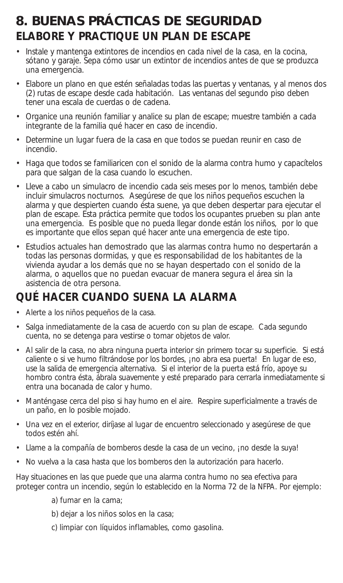# **8. BUENAS PRÁCTICAS DE SEGURIDAD ELABORE Y PRACTIQUE UN PLAN DE ESCAPE**

- Instale y mantenga extintores de incendios en cada nivel de la casa, en la cocina, sótano y garaje. Sepa cómo usar un extintor de incendios antes de que se produzca una emergencia.
- Elabore un plano en que estén señaladas todas las puertas y ventanas, y al menos dos (2) rutas de escape desde cada habitación. Las ventanas del segundo piso deben tener una escala de cuerdas o de cadena.
- Organice una reunión familiar y analice su plan de escape; muestre también a cada integrante de la familia qué hacer en caso de incendio.
- Determine un lugar fuera de la casa en que todos se puedan reunir en caso de incendio.
- Haga que todos se familiaricen con el sonido de la alarma contra humo y capacítelos para que salgan de la casa cuando lo escuchen.
- Lleve a cabo un simulacro de incendio cada seis meses por lo menos, también debe incluir simulacros nocturnos. Asegúrese de que los niños pequeños escuchen la alarma y que despierten cuando ésta suene, ya que deben despertar para ejecutar el plan de escape. Esta práctica permite que todos los ocupantes prueben su plan ante una emergencia. Es posible que no pueda llegar donde están los niños, por lo que es importante que ellos sepan qué hacer ante una emergencia de este tipo.
- Estudios actuales han demostrado que las alarmas contra humo no despertarán a todas las personas dormidas, y que es responsabilidad de los habitantes de la vivienda ayudar a los demás que no se hayan despertado con el sonido de la alarma, o aquellos que no puedan evacuar de manera segura el área sin la asistencia de otra persona.

#### **QUÉ HACER CUANDO SUENA LA ALARMA**

- Alerte a los niños pequeños de la casa.
- Salga inmediatamente de la casa de acuerdo con su plan de escape. Cada segundo cuenta, no se detenga para vestirse o tomar objetos de valor.
- Al salir de la casa, no abra ninguna puerta interior sin primero tocar su superficie. Si está caliente o si ve humo filtrándose por los bordes, ¡no abra esa puerta! En lugar de eso, use la salida de emergencia alternativa. Si el interior de la puerta está frío, apoye su hombro contra ésta, ábrala suavemente y esté preparado para cerrarla inmediatamente si entra una bocanada de calor y humo.
- Manténgase cerca del piso si hay humo en el aire. Respire superficialmente a través de un paño, en lo posible mojado.
- Una vez en el exterior, diríjase al lugar de encuentro seleccionado y asegúrese de que todos estén ahí.
- Llame a la compañía de bomberos desde la casa de un vecino, ¡no desde la suya!
- No vuelva a la casa hasta que los bomberos den la autorización para hacerlo.

Hay situaciones en las que puede que una alarma contra humo no sea efectiva para proteger contra un incendio, según lo establecido en la Norma 72 de la NFPA. Por ejemplo:

- a) fumar en la cama;
- b) dejar a los niños solos en la casa;
- c) limpiar con líquidos inflamables, como gasolina.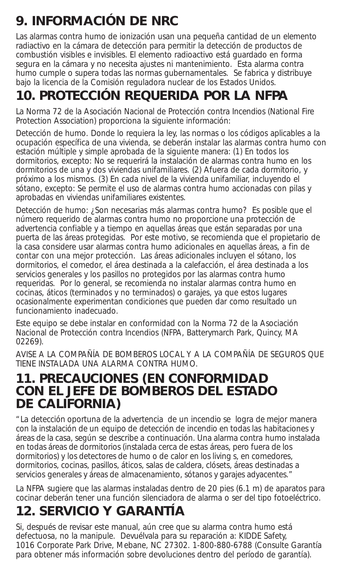# **9. INFORMACIÓN DE NRC**

Las alarmas contra humo de ionización usan una pequeña cantidad de un elemento radiactivo en la cámara de detección para permitir la detección de productos de combustión visibles e invisibles. El elemento radioactivo está guardado en forma segura en la cámara y no necesita ajustes ni mantenimiento. Esta alarma contra humo cumple o supera todas las normas gubernamentales. Se fabrica y distribuye bajo la licencia de la Comisión reguladora nuclear de los Estados Unidos.

# **10. PROTECCIÓN REQUERIDA POR LA NFPA**

La Norma 72 de la Asociación Nacional de Protección contra Incendios (National Fire Protection Association) proporciona la siguiente información:

Detección de humo. Donde lo requiera la ley, las normas o los códigos aplicables a la ocupación específica de una vivienda, se deberán instalar las alarmas contra humo con estación múltiple y simple aprobada de la siguiente manera: (1) En todos los dormitorios, excepto: No se requerirá la instalación de alarmas contra humo en los dormitorios de una y dos viviendas unifamiliares. (2) Afuera de cada dormitorio, y próximo a los mismos. (3) En cada nivel de la vivienda unifamiliar, incluyendo el sótano, excepto: Se permite el uso de alarmas contra humo accionadas con pilas y aprobadas en viviendas unifamiliares existentes.

Detección de humo: ¿Son necesarias más alarmas contra humo? Es posible que el número requerido de alarmas contra humo no proporcione una protección de advertencia confiable y a tiempo en aquellas áreas que están separadas por una puerta de las áreas protegidas. Por este motivo, se recomienda que el propietario de la casa considere usar alarmas contra humo adicionales en aquellas áreas, a fin de contar con una mejor protección. Las áreas adicionales incluyen el sótano, los dormitorios, el comedor, el área destinada a la calefacción, el área destinada a los servicios generales y los pasillos no protegidos por las alarmas contra humo requeridas. Por lo general, se recomienda no instalar alarmas contra humo en cocinas, áticos (terminados y no terminados) o garajes, ya que estos lugares ocasionalmente experimentan condiciones que pueden dar como resultado un funcionamiento inadecuado.

Este equipo se debe instalar en conformidad con la Norma 72 de la Asociación Nacional de Protección contra Incendios (NFPA, Batterymarch Park, Quincy, MA 02269).

AVISE A LA COMPAÑÍA DE BOMBEROS LOCAL Y A LA COMPAÑÍA DE SEGUROS QUE TIENE INSTALADA UNA ALARMA CONTRA HUMO.

#### **11. PRECAUCIONES (EN CONFORMIDAD CON EL JEFE DE BOMBEROS DEL ESTADO DE CALIFORNIA)**

"La detección oportuna de la advertencia de un incendio se logra de mejor manera con la instalación de un equipo de detección de incendio en todas las habitaciones y áreas de la casa, según se describe a continuación. Una alarma contra humo instalada en todas áreas de dormitorios (instalada cerca de estas áreas, pero fuera de los dormitorios) y los detectores de humo o de calor en los living s, en comedores, dormitorios, cocinas, pasillos, áticos, salas de caldera, clósets, áreas destinadas a servicios generales y áreas de almacenamiento, sótanos y garajes adyacentes."

La NFPA sugiere que las alarmas instaladas dentro de 20 pies (6.1 m) de aparatos para cocinar deberán tener una función silenciadora de alarma o ser del tipo fotoeléctrico.

# **12. SERVICIO Y GARANTÍA**

Si, después de revisar este manual, aún cree que su alarma contra humo está defectuosa, no la manipule. Devuélvala para su reparación a: KIDDE Safety, 1016 Corporate Park Drive, Mebane, NC 27302. 1-800-880-6788 (Consulte Garantía para obtener más información sobre devoluciones dentro del período de garantía).